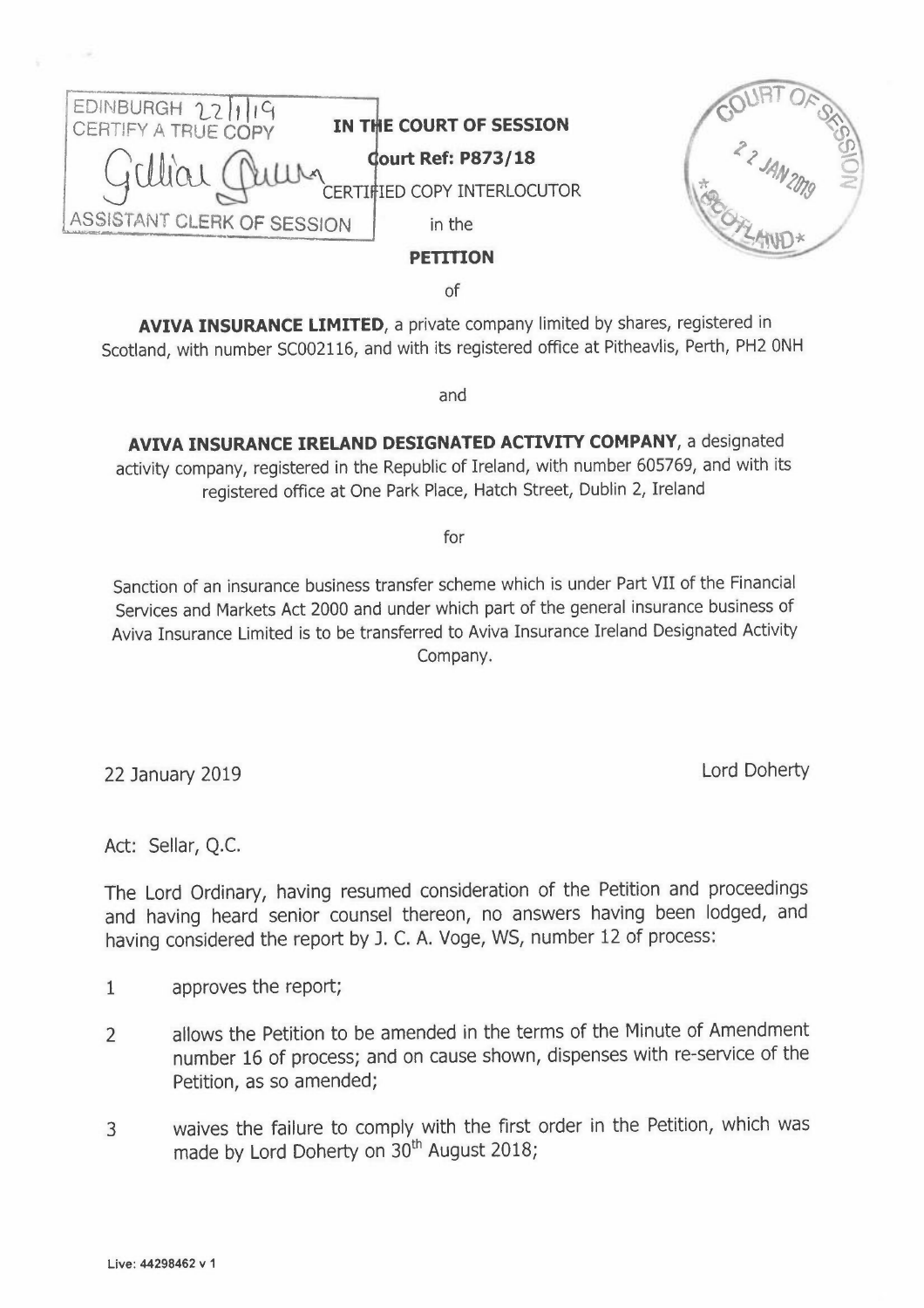|  | approves the report;                                                                                                                                                                |
|--|-------------------------------------------------------------------------------------------------------------------------------------------------------------------------------------|
|  | allows the Petition to be amended in the terms of the Minute of Amendment<br>number 16 of process; and on cause shown, dispenses with re-service of the<br>Petition, as so amended; |

3 waives the failure to comply with the first order in the Petition, which was made by Lord Doherty on 30<sup>th</sup> August 2018;

The Lord Ordinary, having resumed consideration of the Petition and proceedings and having heard senior counsel thereon, no answers having been lodged, and

having considered the report by J. C. A. Voge, WS, number 12 of process:

Act: Sellar, Q.C.

Services and Markets Act 2000 and under which part of the general insurance business of Aviva Insurance Limited is to be transferred to Aviva Insurance Ireland Designated Activity Company.

activity company, registered in the Republic of Ireland, with number 605769, and with its registered office at One Park Place, Hatch Street, Dublin 2, Ireland

and

**PETITION** 

of

**AVIVA INSURANCE LIMITED,** a private company limited by shares, registered in Scotland, with number SC002116, and with its registered office at Pitheavlis, Perth, PH2 0NH

**AVIVA INSURANCE IRELAND DESIGNATED ACTIVITY COMPANY,** a designated

for Sanction of an insurance business transfer scheme which is under Part VII of the Financial



**IN THE COURT OF SESSION dourt Ref: P873/18<br>CERTIFIED COPY INTERLOCUTOR** THE COURT OF SESSION<br>
(COPY IN THE COURT OF SESSION<br>
COL COPY CERTIFIED COPY INTERLOCUTOR<br>
CLERK OF SESSION in the ASSISTANT CLERK OF SESSION In the

EDINBURGH 22/1/19<br>CERTIFY A TRUE COPY

22 January 2019 Lord Doherty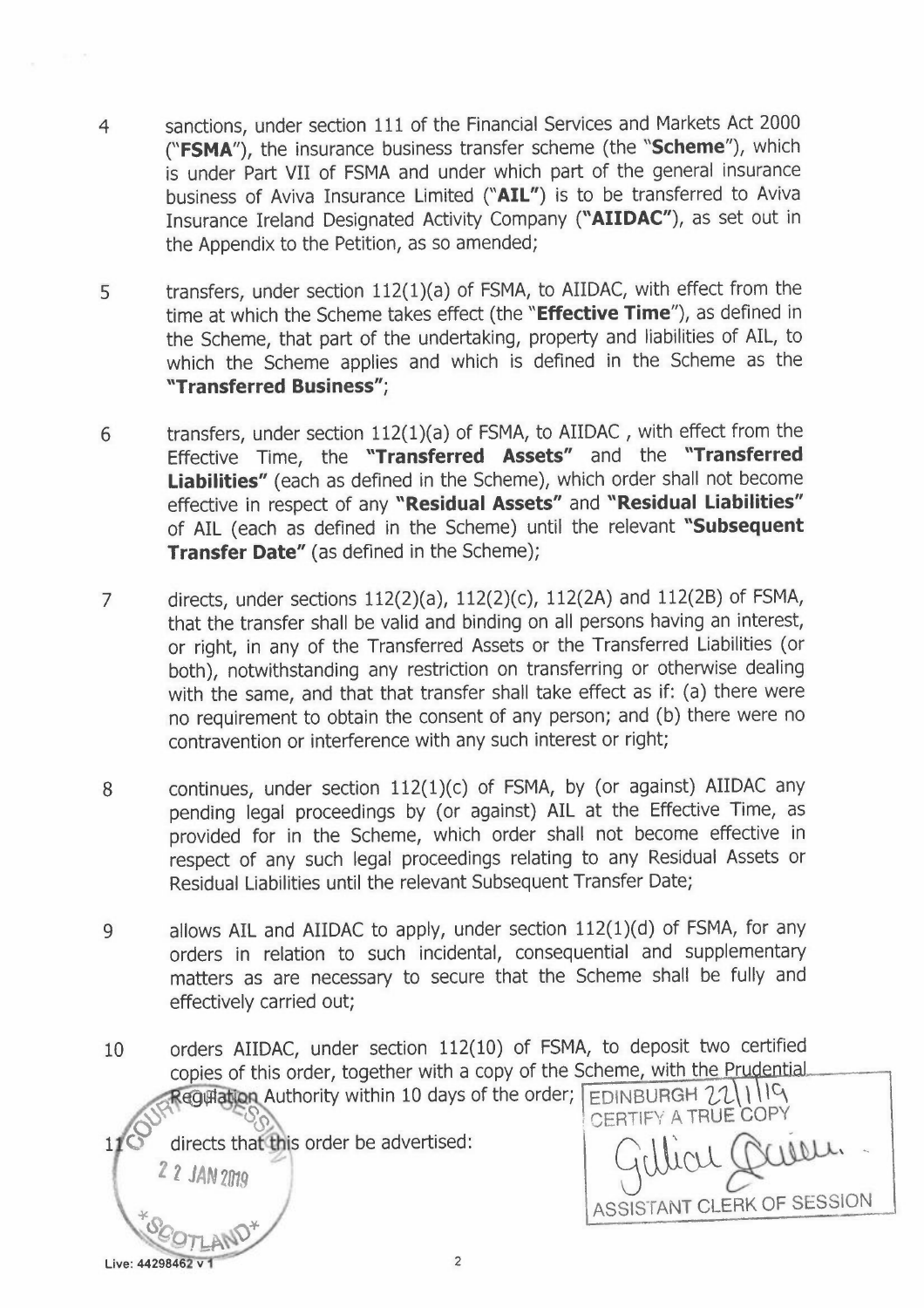- 4 sanctions, under section 111 of the Financial Services and Markets Act 2000 **("FSMA"),** the insurance business transfer scheme (the **"Scheme"),** which is under Part VII of FSMA and under which part of the general insurance business of Aviva Insurance Limited **("AIL")** is to be transferred to Aviva Insurance Ireland Designated Activity Company **("AIIDAC"),** as set out in the Appendix to the Petition, as so amended;
- 5 transfers, under section 112(1)(a) of FSMA, to AIIDAC, with effect from the time at which the Scheme takes effect (the **"Effective Time"),** as defined in the Scheme, that part of the undertaking, property and liabilities of AIL, to which the Scheme applies and which is defined in the Scheme as the **"Transferred Business"·** *<sup>I</sup>*
- 6 transfers, under section 112(1)(a) of FSMA, to AIIDAC , with effect from the Effective Time, the **"Transferred Assets"** and the **"Transferred Liabilities"** (each as defined in the Scheme), which order shall not become effective in respect of any **"Residual Assets"** and **"Residual Liabilities"**  of AIL (each as defined in the Scheme) until the relevant **"Subsequent Transfer Date"** (as defined in the Scheme);
- 7 directs, under sections 112(2)(a), 112(2)(c), 112(2A) and 112(2B) of FSMA, that the transfer shall be valid and binding on all persons having an interest, or right, in any of the Transferred Assets or the Transferred Liabilities ( or both), notwithstanding any restriction on transferring or otherwise dealing with the same, and that that transfer shall take effect as if: (a) there were no requirement to obtain the consent of any person; and (b) there were no contravention or interference with any such interest or right;
- 8 continues, under section 112(1)(c) of FSMA, by (or against) AIIDAC any pending legal proceedings by (or against) AIL at the Effective Time, as provided for in the Scheme, which order shall not become effective in respect of any such legal proceedings relating to any Residual Assets or Residual Liabilities until the relevant Subsequent Transfer Date;
- 9 allows AIL and AIIDAC to apply, under section 112(1)(d) of FSMA, for any orders in relation to such incidental, consequential and supplementary matters as are necessary to secure that the Scheme shall be fully and effectively carried out;

10 orders AIIDAC, under section 112(10) of FSMA, to deposit two certified copies of this order, together with a copy of the Scheme, with the Prudential ~ E@IJJl Authority within 10 days of the order; EDINBURGH 11- \ \~

OF THE COPY 1<sup>1</sup> OURREGUILDED Authority within 10 days of the order; EDINBURGH 22/1/19<br>directs that this order be advertised:  $G(\text{UQU GL})$ directs that this order be advertised:<br>
2 *l* JAN<sub>2019</sub> **CERTIFY A TRUE COPY** ASSISTANT CLERK OF SESSION

Live: 44298462 v

2